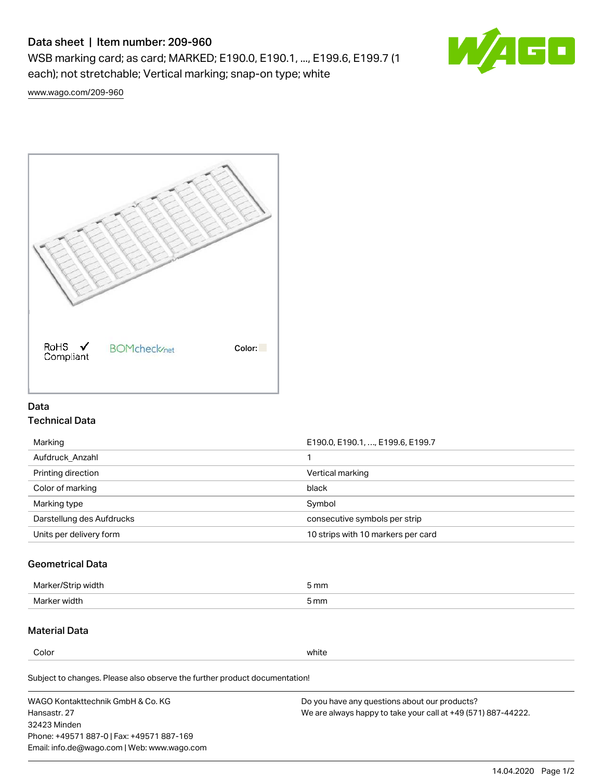# Data sheet | Item number: 209-960

WSB marking card; as card; MARKED; E190.0, E190.1, ..., E199.6, E199.7 (1 each); not stretchable; Vertical marking; snap-on type; white



[www.wago.com/209-960](http://www.wago.com/209-960)



### Data Technical Data

| Marking                   | E190.0, E190.1, , E199.6, E199.7   |
|---------------------------|------------------------------------|
| Aufdruck Anzahl           |                                    |
| Printing direction        | Vertical marking                   |
| Color of marking          | black                              |
| Marking type              | Symbol                             |
| Darstellung des Aufdrucks | consecutive symbols per strip      |
| Units per delivery form   | 10 strips with 10 markers per card |

## Geometrical Data

| طلقاء ئ<br><b>Marker</b><br>widtr | ັກmm |
|-----------------------------------|------|
| Marker width                      | 5 mm |

### Material Data

Color white

Subject to changes. Please also observe the further product documentation!

WAGO Kontakttechnik GmbH & Co. KG Hansastr. 27 32423 Minden Phone: +49571 887-0 | Fax: +49571 887-169 Email: info.de@wago.com | Web: www.wago.com Do you have any questions about our products? We are always happy to take your call at +49 (571) 887-44222.